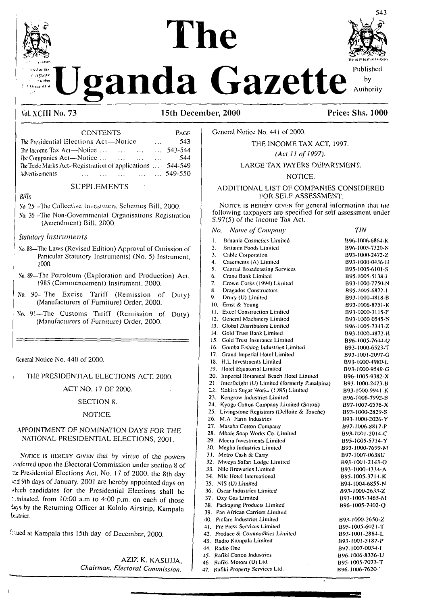

 $b\nu$ 

Published anda Gazette Authority

### Vol. XCIII No. 73

 $-0.15 - 0.0$ 

PAGE

# **Price: Shs. 1000**

 $TIN$ 

B96-1006-7620

| <b>CONTENTS</b> |
|-----------------|

| The Presidential Elections Act—Notice             |         |  |                          | $\mathbf{1}$ | 543.             |
|---------------------------------------------------|---------|--|--------------------------|--------------|------------------|
| The Income Tax Act—Notice $\dots$ $\dots$ $\dots$ |         |  |                          |              | $\ldots$ 543-544 |
| The Companies $Act$ —Notice $\dots$ $\dots$       |         |  | <b>Contract Contract</b> | $\mathbf{1}$ | 544              |
| The Trade Marks Act-Registration of applications  |         |  |                          |              | 544-549          |
| Advertisements                                    | 549-550 |  |                          |              |                  |
|                                                   |         |  |                          |              |                  |

### **SUPPLEMENTS**

### $Rill<sub>s</sub>$

- No. 25. The Collective Investment Schemes Bill, 2000.
- No. 26—The Non-Governmental Organisations Registration (Amendment) Bill, 2000.

### **Statutory Instruments**

- No. 88-The Laws (Revised Edition) Approval of Omission of Particular Statutory Instruments) (No. 5) Instrument. 2000.
- No. 89-The Petroleum (Exploration and Production) Act, 1985 (Commencement) Instrument, 2000.
- No. 90-The Excise Tariff (Remission of Duty) (Manufacturers of Furniture) Order, 2000.
- No. 91-The Customs Tariff (Remission of Duty) (Manufacturers of Furniture) Order, 2000.

General Notice No. 440 of 2000.

### THE PRESIDENTIAL ELECTIONS ACT, 2000.

### ACT NO. 17 OF 2000.

### **SECTION 8.**

#### NOTICE.

### APPOINTMENT OF NOMINATION DAYS FOR THE NATIONAL PRESIDENTIAL ELECTIONS, 2001.

<span id="page-0-0"></span>NOTICE IS HEREBY GIVEN that by virtue of the powers  $\n *Infertred* upon the Electrical Commission under section 8 of\n$ the Presidential Elections Act, No. 17 of 2000, the 8th day and 9th days of January, 2001 are hereby appointed days on abich candidates for the Presidential Elections shall be tominated, from 10:00 a.m to 4:00 p.m. on each of those ia,s by the Returning Officer at Kololo Airstrip, Kampala **Listrict.** 

Isued at Kampala this 15th day of December, 2000.

AZIZ K. KASUJJA.

47. Rafiki Property Services Ltd.

General Notice No. 441 of 2000.

#### THE INCOME TAX ACT. 1997.

(Act 11 of 1997).

#### LARGE TAX PAYERS DEPARTMENT.

### NOTICE.

### ADDITIONAL LIST OF COMPANIES CONSIDERED FOR SELF ASSESSMENT

NOTICE IS HEREBY GIVEN for general information that the following taxpayers are specified for self assessment under S.97(5) of the Income Tax Act.

#### No. Name of Company

| Britania Cosmetics Limited<br>ŧ.                  | B96-1006-6864-K |
|---------------------------------------------------|-----------------|
| 2.<br>Britania Foods Limited                      | B96-1005-7320-N |
| 3.<br>Cable Corporation                           | B93-1000-2472-Z |
| Casements (A) Limited<br>4.                       | B93-1000-0436-H |
| 5.<br>Central Broadcasting Services               | B95-1005-6101-S |
| 6.<br>Crane Bank Limited                          | 895-1005-5138-1 |
| 7.<br>Crown Corks (1994) Limited                  | B93-1000-7750-N |
| 8.<br>Dragados Constructors                       | B95-1005-6877-1 |
| Drury (U) Limited<br>9. .                         | B93-1000-4818-B |
| 10. Ernst & Young                                 | B93-1006-8751-K |
| 11. Excel Construction Limited                    | B93-1000-3115-F |
| 12. General Machinery Limited                     | B93-1000-0545-N |
| 13. Global Distributors Limited                   | B96-1005-7343-Z |
| 14. Gold Trust Bank Limited                       | B93-1000-4872-H |
| 15. Gold Trust Insurance Limited                  | B96-1005-7644-Q |
| 16. Gomba Fishing Industries Limited              | B93-1000-6523-T |
| 17. Grand Imperial Hotel Limited                  | B93-1001-2097-G |
| 18. H.L Investments Limited                       | B93-1000-4980-L |
| 19. Hotel Equatorial Limited                      | B93-1000-9549-G |
| 20. Imperial Botanical Beach Hotel Limited        | B96-1005-9382-X |
| 21. Interfreight (U) Limited (formerly Panalpina) | B93-1000-2473-B |
| 22. Kakira Sugar Works (1985) Limited             | B93-1000-9941-K |
| 23. Kengrow Industries Limited                    | B96-1006-7992-B |
| 24. Kyoga Cotton Company Limited (Soroti)         | B97-1007-0576-X |
| 25. Livingstone Registrars (Delloite & Touche)    | B93-1000-2829-S |
| 26. M.A. Farm Industries                          | B93-1000-2026-Y |
| 27. Masaba Cotton Company                         | B97-1006-8817-P |
| 28. Mbale Soap Works Co. Limited                  | B93-1001-2014-C |
| 29. Meera Investments Limited                     | B95-1005-5714-Y |
| 30. Megha Industries Limited                      | B93-1000-7699-M |
| 31. Metro Cash & Carry                            | B97-1007-0638U  |
| 32. Mweya Safari Lodge Limited                    | B93-1001-2143-O |
| 33. Nile Breweries Limited                        | B93-1000-4334-A |
| 34. Nile Hotel International                      | B95-1005-3714-K |
| 35. NIS (U) Limited                               | B94-1004-6855-N |
| 36. Oscar Industries Limited                      | 893-1000-2633-Z |
| 37. Oxy Gas Limited                               | B93-1005-3465-M |
| 38. Packaging Products Limited                    | B96-1005-7402-Q |
| 39. Pan African Carriers Limited                  |                 |
| 40. Picfare Industries Limited                    | B93-1000-2650-Z |
| 41. Pre Press Services Limited                    | B95-1005-6021-T |
| 42. Produce & Commodities Limited                 | B93-1001-2884-L |
| 43. Radio Kampala Limited                         | B93-1001-3187-P |
| 44. Radio One                                     | B97-1007-0034-1 |
| 45. Rafiki Cotton Industries                      | B96-1006-8336-U |
| 46 – Rafiki Motors (U) Ltd.                       | B95-1005-7073-T |

Chairman, Electoral Commission.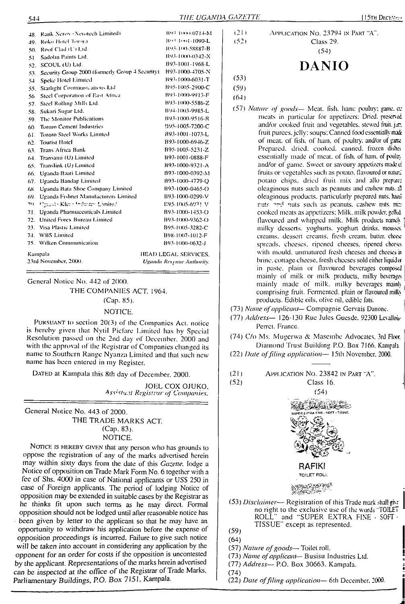48. Rank Nerov (Nerotech Limited)

**B93 1000-0714-M** 

|  | [15TH DECEMBER |  |
|--|----------------|--|
|  |                |  |

APPLICATION NO. 23794 IN PART "A". Class 29.

| DANIO |  |
|-------|--|
|       |  |

 $(53)$ 

 $(21)$ 

 $(52)$ 

# $(59)$

 $(64)$ 

- (57) Nature of goods- Meat. fish. ham: poultry; game. en meats in particular for appetizers; Dried, preserved and/or cooked fruit and vegetables, stewed fruit jan fruit purees, jelly; soups; Canned food essentially made of meat, of fish, of ham, of poultry, and/or of game Prepared. dried. cooked, canned, frozen dishes essentially made of meat, of fish, of ham, of poulty and/or of game. Sweet or savoury appetizers made of fruits or vegetables such as potato, flavoured or natural potato chips, dried fruit mix and allo prepaer oleaginous nuts such as peanuts and cashew nuts. 2 oleaginous products, particularly prepared nuts, hard nuts and nuts such as peanuts, cashew nuts, mizcooked meats as appetizers; Milk, milk powder, gelled flavoured and whipped milk. Milk products namely milky desserts, yoghurts, yoghurt drinks, mousss, creams, dessert creams, fresh cream, butter, chees spreads, cheeses, ripened cheeses, ripened cheeses with mould, unmatured fresh cheeses and cheeses in brine, cottage cheese, fresh cheeses sold either liquid or in paste, plain or flavoured beverages composed mainly of milk or milk products, milky beverages mainly made of milk, milky beverages mainly comprising fruit. Fermented, plain or flavoured milly products. Edible oils, olive oil, edible fats.
- (73) Name of applicant- Compagnie Gervais Danone.
- (77) Address-126-130 Rue Jules Guesde, 92300 Levallois-Perret. France.

(74) C/o Ms. Mugerwa & Masembe Advocates, 3rd Floor. Diamond Trust Building P.O. Box 7166. Kampala.

- (22) Date of filing application-15th November, 2000.
- $(21)$ APPLICATION NO. 23842 IN PART "A".

Class 16.



- (57) Nature of goods-Toilet roll.
- (73) Name of applicant-Busisu Industries Ltd.
- (77) Address- P.O. Box 30663. Kampala.
- $(74)$

 $(59)$ 

 $(64)$ 

 $(52)$ 

(22) Date of filing application-6th December, 2000.

49. Roko Hotel Tororo B93.1001-1090-L 50. Roof Clad (U) Ltd. B93-100-58887-B 51 Sadolin Paints Ltd. B93-1000-0342-X 52. SCOUL (U) Ltd. B93-1001-1968-L 53. Security Group 2000 (formerly Group 4 Security) B93-1000-4705-N Speke Hotel Limited B93-1000-6031-T  $54<sub>1</sub>$ 55. Starlight Communications Ltd B95-1005-2900-C 56 Steel Corporation of East Africa B93-1000-9913-F 57. Steel Rolling Mills Ltd. B93-1000-5586-Z 58. Sukari Sugar Ltd. B94-1003-9985-L 59. The Monitor Publications B93-1000-9516-R 60. Tororo Cement Industries 995-1005-7200-C 61. Tororo Steel Works Limited B93-1001-1073-L B93-1000-6946-Z 62. Tourist Hotel 63. Trans Africa Bank B95-1005-5231-Z 64. Transami (U) Limited B93-1001-0888-F 65. Translink (U) Limited B93-1000-9321-A 66. Uganda Baati Limited B93-1000-0392-M 67. Uganda Bandag Limited B93-1000-4779-Q 68 Uganda Bata Shoe Company Limited B93-1000-0465-O B93-1000-0299-V 69. Uganda Fishnet Manufacturers Limited 70 Ugasa) Kler (Jeduster Limited E95-1005-6971 V 71. Uganda Pharmaceuticals Limited B93-1000-1453-O 72. United Forex Bureau Limited B93-1000-9362-O 73. Visa Plastic Limited B95-1005-3282-C 74. WBS Limited B98-1007-1012-F 75. Wilken Communication B93-1000-0632-J Kampala HEAD LEGAL SERVICES. 23rd November, 2000. Uganda Revenue Authority.

General Notice No. 442 of 2000. THE COMPANIES ACT, 1964. (Cap. 85).

#### NOTICE.

PURSUANT to section 20(3) of the Companies Act, notice is hereby given that Nytil Picfare Limited has by Special Resolution passed on the 2nd day of December, 2000 and with the approval of the Registrar of Companies changed its name to Southern Range Nyanza Limited and that such new name has been entered in my Register.

DATED at Kampala this 8th day of December, 2000.

JOEL COX OJUKO, Assistent Registrar of Companies.

General Notice No. 443 of 2000. THE TRADE MARKS ACT.  $(Cap. 83)$ . NOTICE.

NOTICE IS HEREBY GIVEN that any person who has grounds to oppose the registration of any of the marks advertised herein may within sixty days from the date of this Gazette, lodge a Notice of opposition on Trade Mark Form No. 6 together with a fee of Shs. 4000 in case of National applicants or US\$ 250 in case of Foreign applicants. The period of lodging Notice of opposition may be extended in suitable cases by the Registrar as he thinks fit upon such terms as he may direct. Formal opposition should not be lodged until after reasonable notice has been given by letter to the applicant so that he may have an opportunity to withdraw his application before the expense of opposition proceedings is incurred. Failure to give such notice will be taken into account in considering any application by the opponent for an order for costs if the opposition is uncontested by the applicant. Representations of the marks herein advertised can be inspected at the office of the Registrar of Trade Marks, Parliamentary Buildings, P.O. Box 7151, Kampala.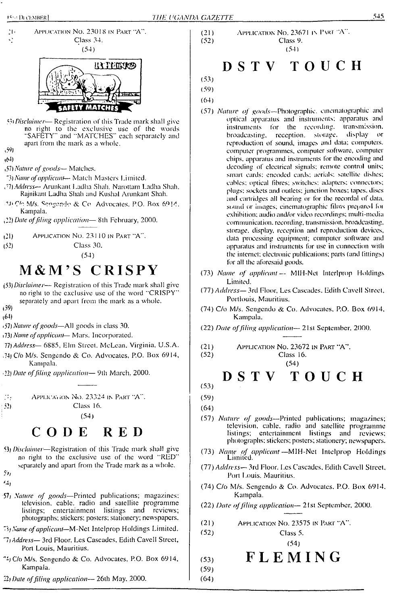



- ■'J'C'n M/s. ^ngp.ndo & Co Advocates. P.O. Rox 6914. Kampala.
- J2) *Date offiling application—* 8lh February, 2000.
- (21) Application No. 231 10 in Part "A".
- (52) Class 30.

<59)  $(4)$ 

(54)

# **M&M'<sup>S</sup> CRISPY**

- (53) *Disclaimer* Registration of this Trade mark shall give no right to the exclusive use of the word "CRISPY" separately and apart from the mark as a whole.
- (59) (64)
- <sup>1</sup>57) *Nature ofgoods—*All goods in class 30.
- <sup>1</sup>73) *Name ofapplicant-* Mars. Incorporated.
- 77)*Address—* 6885, Elm Street. McLean. Virginia, U.S.A.
- .74) C/o M/s. Sengendo & Co. Advocates, P.O. Box 6914, Kampala.
- 22) *Date offiling application—* 9lh March, 2000.

Application No. 23324 in Part "A".  $\mathbb{Z}_2$ : 52) Class 16. : (54)

# CODE RED

- 53) *Disclaimer—*Registration of this Trade mark shall give no right to the exclusive use of the word "RED" separately and apart from the Trade mark as a whole.
- $\mathcal{N}_{I}$
- '4)
- 57j *Nature of goods—*Printed publications; magazines: television, cable, radio and satellite programme listings; entertainment listings and reviews; photographs; stickers; posters; stationery; newspapers.
- *'A) Name ofapplicant*—M-Nct Intclprop Holdings Limited.
- "7/ *Address—* 3rd Floor, Les Cascades, Edith Cavell Street, Port Louis, Mauritius.
- ^4; C/o M/s. Sengendo & Co. Advocates. P.O. Box 6914, Kampala.
- 22) *Date offiling application—<sup>&</sup>gt;* 26th May. 2000.

#### (21) Application No. 23671 in PART "A".<br>
(52) Class 9. Class 9. (54)

# DSTV TOUCH

(53) (59)

- (64)
- (57) *Nature of goods—*Photographic, cinematographic and optical apparatus and instruments; apparatus and instruments for the recording, transmission, broadcasting, reception, storage, display or reproduction of sound, images and data: computers, computer programmes, computer software, computer chips, apparatus and instruments for the encoding and decoding of electrical signals; remote control units; smart cards: encoded cards: aerials; satellite dishes; cables: optical fibres; switches: adapters: connectors; plugs: sockets and outlets; junction boxes; tapes, discs and cartridges all bearing or for the rceordal of data, sound or images, cinematographic films prepared loi exhibition; audio and/or video recordings; multi-media communication, recording, transmission, broadcasting, storage, display, reception and reproduction devices, data processing equipment; computer software and apparatus and instruments for use in connection with the internet; electronic publications; parts (and fittings) for all the aforesaid goods.
- (73) *Name of applicant—* MIH-Nel Interlprop Holdings Limited.
- (77) *Address—* 3rd Floor, Les Cascades. Edith Cavell Street, Portlouis, Mauritius.
- (74) C/o M/s. Sengendo & Co. Advocates, P.O. Box 6914, Kampala.
- (22) *Date offiling application—* 21st September, 2000.

(21) Application No. 23672 in Part "A".

(52) Class 16. (54)

DSTV TOUCH (53)

(59)

(64)

(59) (64)

- (57) *Nature of goods—*Printed publications; magazines; television, cable, radio and satellite programme listings; entertainment listings and reviews; photographs: slickers; posters; stationery; newspapers.
- (73) *Name of applicant—*MIH-Net Intclprop Holdings Limited.
- *(IT) Address—* 3rd Floor. Les Cascades. Edith Cavell Street. Port Louis. Mauritius.
- (74) C/o M/s. Sengendo & Co. Advocates. P.O. Box 6914. Kampala.

(22) *Date offiling application—* 21st September, 2000.

(21) Application No. 23575 in Part "A".

$$
(52) \t\text{Class 5.}
$$

$$
(\mathbf{53}) \qquad \mathbf{F} \mathbf{L} \mathbf{E} \mathbf{M} \mathbf{I} \mathbf{N} \mathbf{G}
$$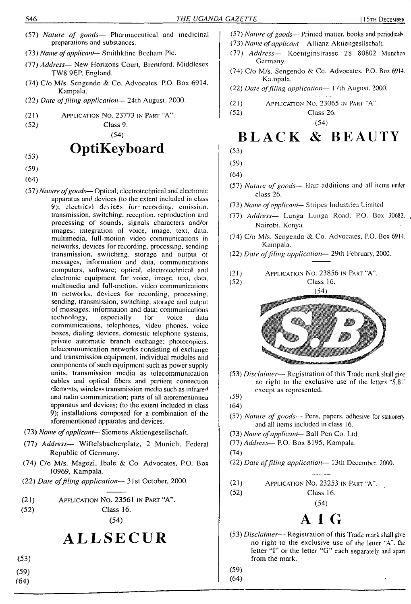- (57) *Nature of goods—* Pharmaceutical and medicinal preparations and substances.
- (73) *Name ofapplicant* Smithklinc Bccham Pic.
- (77) *Address—* New Horizons Court, Brentford, Middlesex TW8 9EP. England.
- (74) C/o M/s. Sengendo & Co. Advocates. P.O. Box 6914. Kampala.
- (22) *Date offiling application—* 24th August. 2000.
- Application No. 23773 in Part "A". (21)
- (52)

Class 9. (54)

# **OptiKeyboard**

- (53)
- (59)
- (64)
- (57) *Nature ofgoods—*Optical, electrotechnical and electronic apparatus and devices (to the extent included in class 9); clectiical devices for'recoiding. emission, transmission, switching, reception, reproduction and processing of sounds, signals characters and/or images; integration of voice, image, text, data, multimedia, full-motion video communications in networks, devices for recording, processing, sending transmission, switching, storage and output of messages, information and data, communications computers, software; optical, electrotechnical and electronic equipment for voice, image, text, data, multimedia and full-motion, video communications in networks, devices for recording, processing, sending, transmission, switching, storage and output of messages, information and data; communications<br>technology, especially for voice data technology, especially for voice data communications, telephones, video phones, voice boxes, dialing devices, domestic telephone systems, private automatic branch exchange; photocopiers, telecommunication networks consisting of exchange and transmission equipment, individual modules and components of such equipment such as power supply units, transmission media as telecommunication cables and optical fibers and pertienl connection elements, wireless transmission media such as infrared and radio communication; parts of all aioremeniioneu apparatus and devices; (to the extent included in class 9); installations composed for a combination of the aforementioned apparatus and devices.
- (73) *Name ofapplicant—* Siemens Aktiengesellschaft.
- (77) *Address—* Wiftelsbacherplatz, 2 Munich, Federal Republic of Germany.
- (74) C/o M/s. Magezi, Ibale & Co. Advocates, P.O. Box 10969, Kampala.
- (22) *Date offiling application*—■ 31st October, 2000.

(21) Application No. 23561 in Part "A".

$$
(52) \t\text{Class } 16.
$$

(54)

# **ALLSECUR**

- (53)
- (59)
- (64)
- (57) *Nature ofgoods—* Primed matter, books and periodicals.
- (73) *Name ofapplicant* Allianz Aktiengcsllschaft.
- (77) *Address—* Kocniginstrassc 2S 80802 Munchen Germany.
- (74) C/o M/s. Sengendo & Co. Advocates. P.O. Box 6914. Kampala.
- (22) *Date offiling application—* 17th August. 2000.
- (21) Application No. 23065 in Part "A".

(52) Class 26. (54)

# **BLACK & BEAUTY**

- (53)
- (59)
- (64)

(52)

- (57) *Nature of goods—* Hair additions and all items under class 26.
- (73) *Name ofapplicant—* Stripes Industries Limited
- (77) *Address—* Lunga Lunga Road, P.O. Box 30682. , Nairobi. Kenya.
- (74) C/o M/s. Sengendo & Co. Advocates, P.O. Box 6914. Kampala.
- (22) *Date offiling application—* 29th February, 2000.
- (21) Application No. 23856 in Part "A".



Class 16.

- (53) *Disclaimer* Registration of this Trade mark shall give no right to the exclusive use of the letters "S.B." except as represented. Q9)
- (64)
- (57) *Nature of goods—* Pens, papers, adhesive for stationery and all items included in class 16.
- (73) *Name ofapplicant* Ball Pen Co. Ltd.
- (77) *Address—* P.O. Box 8195, Kampala.
- (74)

(52)

- (22) *Date offiling application—* 13th December. 2000.
- (21) Application No. 23253 in Part "A".

Class 16. (54)

# $A$   $I$   $G$

- (53) *Disclaimer—* Registration of this Trade mark shall give no right to the exclusive use of the letter "A", the letter "I" or the letter "G" each separately and apart from the mark..
- (59)

(64)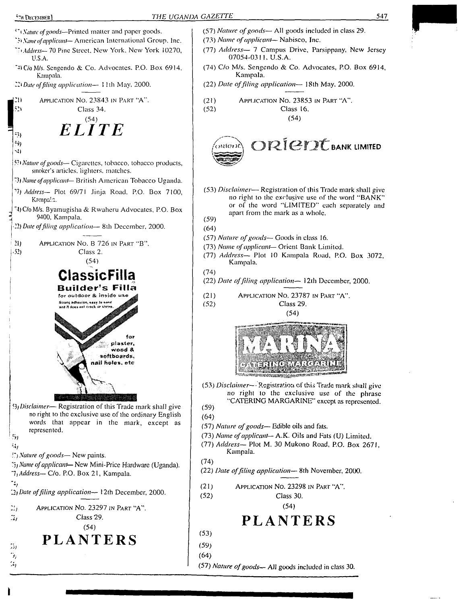DECEMBER]<br>
Stature of goods—Printed matter and paper goods.<br>
Stature of goods—All goods included in class 29.<br>
State of gaplicant—American International Group, Inc.<br>
International Group, Inc.<br>
ITA *Name of applicant*—Nabis <sup>i</sup> *Nature ofgoods—*Printed matter and paper goods. (57) *Nature ofgoods—* All goods included in class 29. *'•» Name ofapplicant—* American International Group. Inc. (73) *Name ofapplicant*— Nabisco, Inc. *"AAddress—* 70 Pine Street. New York. New York 10270, (77) *Address—* 7 Campus Drive, Parsippany, New Jersey 07054-0311, U.S.A. U.S.A. (74) C/o M/s. Scngendo & Co. Advocates, P.O. Box 6914, '•U C/o M/s. Scngendo & Co. Advocates. P.O. Box 6914. Kampala. Kampala. 22<sup>1</sup> *Dale offiling application—* <sup>1</sup> 1th May. 2000. (22) *Date offiling application—* 18th May, 2000. (21) Application No. 23853 in Part "A". 21  $\blacksquare$  Application No. 23843 in Part "A". (52) Class 16. Class 34.  $ELITE$ (54) 93)  $O(2I)$   $\epsilon$  is ank limited : 9) micn N) 57*<sup>1</sup> Nature ofgoods—* Cigarettes, tobacco, tobacco products, smoker's articles. lighters, matches. "3, *Name ofapplicant—* British American Tobacco Uganda. (53) *Disclaimer—* Registration of this Trade mark shall give *") Address—* Plot 69/71 Jinja Road. P.O. Box 7100, no right to the exclusive use of lhe word "BANK" Kampa!a. or of the word "LIMITED" each separately and "4) C/o M/s. Byamugisha & Rwaheru Advocates, P.O. Box apart from the mark as a whole. 9400, Kampala. (59) 22) *Date offiling application—* 8lh December, 2000. (64) (57) *Nature ofgoods—* Goods in class 16. 21) Application No. B 726 in Part "B". (73) *Name ofapplicant—* Orient Bank Limited.  $\sqrt{52}$  Class 2. (77) *Address—* Plot 10 Kampala Road, P.O. Box 3072, (54) Kampala. (74) ClassicFi (22) *Date offiling application—* <sup>1</sup>2lh December, 2000. **Builder's Filla** (21) Application No. 23787 in Part "A". dissing advances, easy to sum (52) Class 29. ine ik Avale was sweek (54) wood & softboards. nail holes, etc (53) *Disclaimer—* Registration of this Trade mark shall give no right to the exclusive use of the phrase "CATERING MARGARINE" except as represented. 9) *Disclaimer*— Registration of this Trade mark shall give (59) no right to the exclusive use of the ordinary English (64) words that appear in the mark, except as (57) *Nature of goods*— Edible oils and fats. represented. (73) *Name ofapplicant—* A.K. Oils and Eats (U) Limited.  $51$ (77) *Address—* Plot M. 30 Mukono Road, P.O. Box 2671, • j*Nature ofgoods—* New paints. Kampala. (74) *'A) Name ofapplicant—* New Mini-Price Hardware (Uganda). (22) *Date offiling application—* 8th November, 2000. *It Address—* C/o. P.O. Box 21, Kampala. ۰., (21) Application No. 23298 in Part "A". *.2} Date offiling application—* 12th December, 2000. (52) Class 30. (54) Application No. 23297 in Part "A". -27 Class 29. *in* **PLANTERS** (54) (53) **PLANTERS** (59) *>>*  $\tilde{\bm{\beta}}_j$ (64)

9 (57) *Nature ofgoods-"* All goods included in class 30.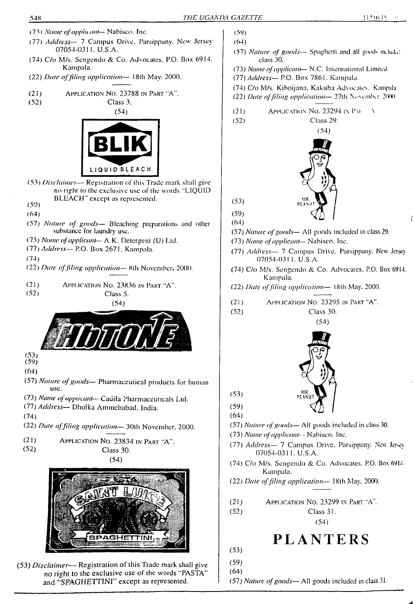

- (74) C/o M/s. Sengendo & Co. Advocates. P.O. Box 6914. Kampala.
- (22) *Date offiling application—* 18th May. 2000.
- (21) Application No. 23788 in Part "A".
- (52) Class 3.



- (53) *Disclaimer—* Registration of this Trade mark shall give no right to lhe exclusive use of lhe words "LIQUID BLEACH" except as represented.
- $(59)$
- (64)
- (57) *Nature of goods—* Bleaching preparations and other substance for laundry use.
- (73) *Name ofapplicant—* A.K. Detergent (U) Ltd.
- (77) *Address—* P.O. Box 2671. Kampala.
- (74)
- (22) *Date offiling application—* 8th November. 2000.
- (21) Application No. 23836 in Part "A". (52) Class 5.

(54)

(53)

- (59)
- (64)
- (57) *Nature ofgoods—* Pharmaceutical products for human use.
- (73) *Name ofapplicant—* Cadila Pharmaceuticals Ltd.
- (77) *Address—* Dholka Ammcbabad. India.
- (74)
- (22) *Date offding application—* 3()th November. 2000.
- (21) Application No. 23834 in Part "A". (52) Class 30.

(54)



(53) *Disclaimer*— Registration of this Trade mark shall give no right to the exclusive use of the words "PASTA" and "SPAGHETTINI" except as represented.

- (57) *Nature of goods*-- Spaghetti and all goods induded class 30. (73) *Name ofapplicant*— N.C. International Limited. (77) *Address—* P.O. Box 7861. Kampala. (74) C/o M/s. Kiboijana. Kakuba Advocates. Kampala. (22) *Date offding application—* 27th Ncwmlxr 2000  $(21)$  Application No. 23294 in PA (52) Class 29. (54) (53) (59) (64) (57) *Nature ofgoods—* All goods included in class 29. (73) *Name ofapplicant*— Nabisco. Inc. (77) *Address—* 7 Campus Drive. Parsippany, New Jersey 07054-031 1. U.S.A. (74) C/o M/s. Sengendo & Co. Advocates. P.O. Box 6914. Kampala. (22) *Date offiling application—* 18th May. 2000. (21) Application No. 23295 in Part "A". (52) Class 30. (54) (53) (59) (64)
- (57) *Nature ofgoods—* All goods included in class 30.
- (73) *Name ofapplicant- -* Nabisco. Inc.
- (77) *Address* 7 Campus Drive, Parsippany. New Jersey 07054-0311. U.S.A.
- (74) C/o M/s. Sengendo & Co. Advocates, P.O. Box 691-. Kampala.
- (22) *Date offiling application—* 18th May. 2000.
- (21) Application No. 23299 in Part "A".

(52) Class 31. (54)

# **PLANTERS**

- (53)
- (59) (64)

(57) *Nature ofgoods—* All goods included in class 31.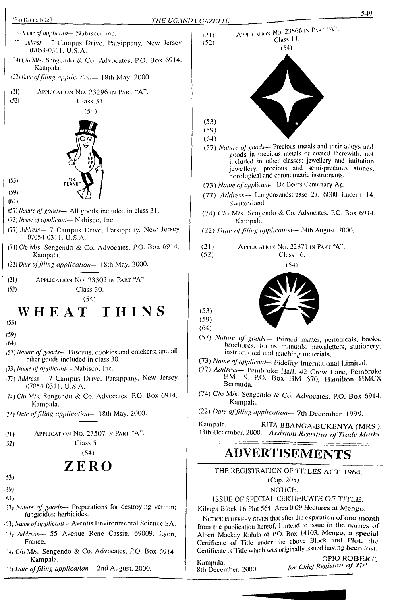#### **'SHI DECEMBER]**

- <sup>73</sup>. Vane of applicant-Nabiseo, Inc.
- Address- 7 Campus Drive, Parsippany, New Jersey 07054-0311. U.S.A.
- 74 C/o M/s. Sengendo & Co. Advocates, P.O. Box 6914. Kampala.
- (22) Date of filing application-18th May, 2000.
- $(21)$ APPLICATION NO. 23296 IN PART "A".  $(52)$ Class 31.



 $(59)$  $(64)$ 

 $(53)$ 

- (57) Nature of goods-All goods included in class 31.
- (73) Name of applicant- Nabisco, Inc.
- (77) Address- 7 Campus Drive, Parsippany. New Jersey 07054-0311, U.S.A.
- (74) C/o M/s. Sengendo & Co. Advocates, P.O. Box 6914. Kampala.
- (22) Date of filing application-18th May, 2000.
- $(21)$ APPLICATION No. 23302 IN PART "A". Class 30.  $(52)$  $(54)$

# WHEAT THINS

 $(53)$ 

- $(59)$  $(64)$
- (51) Nature of goods-Biscuits, cookies and crackers; and all other goods included in class 30.
- (73) Name of applicant-Nabisco, Inc.
- (77) Address-7 Campus Drive, Parsippany, New Jersey 07054-0311, U.S.A.
- 74) C/o M/s. Sengendo & Co. Advocates, P.O. Box 6914, Kampala.

22) Date of filing application-18th May, 2000.

- APPLICATION NO. 23507 IN PART "A".  $21)$
- $(52)$
- Class 5.  $(54)$

# ZERO

- $53<sub>1</sub>$ روي
- $6,4j$
- 57) Nature of goods— Preparations for destroying vermin; fungicides; herbicides.
- (73) Name of applicant- Aventis Environmental Science SA.
- 71) Address- 55 Avenue Rene Cassin. 69009, Lyon. France.
- ~4, C/o M/s. Sengendo & Co. Advocates, P.O. Box 6914, Kampala.
- 12) Date of filing application-2nd August, 2000.



- $(64)$
- (57) Nature of goods- Precious metals and their alloys and goods in precious metals or coated therewith, not included in other classes; jewellery and imitation<br>jewellery, precious and semi-precious stones,<br>horological and chronometric instruments.
- (73) Name of applicant- De Beers Centenary Ag.
- (77) Address- Langensandstrasse 27, 6000 Lucern 14, Switzerland.
- (74) C/o M/s. Sengendo & Co. Advocates, P.O. Box 6914. Kampala.
- (22) Date of filing application-24th August, 2000.
- $(21)$ APPLICATION NO. 22871 IN PART "A".
- $(52)$ Class 16.

 $(51)$ 



 $(59)$  $(64)$ 

 $(53)$ 

- (57) Nature of goods- Printed matter, periodicals, books, brochures. forms manuals, newsletters, stationery; instructional and teaching materials.
- (73) Name of applicant-Fidelity International Limited.
- (77) Address- Pembroke Hall, 42 Crow Lane, Pembroke HM 19, P.O. Box HM 670, Hamilton HMCX Bermuda.
- (74) C/o M/s. Sengendo & Co. Advocates, P.O. Box 6914, Kampala.
- (22) Date of filing application-7th December, 1999.

Kampala, RITA BBANGA-BUKENYA (MRS.). 13th December, 2000. Assistant Registrar of Trade Marks.

# **ADVERTISEMENTS**

THE REGISTRATION OF TITLES ACT, 1964.

(Cap. 205). NOTICE.

ISSUE OF SPECIAL CERTIFICATE OF TITLE.

Kibuga Block 16 Plot 564, Area 0.09 Hectares at Mengo,

NOTICE IS HEREBY GIVEN that after the expiration of one month from the publication hereof. I intend to issue in the names of Albert Mackay Kalula of P.O. Box 14103, Mengo, a special Certificate of Title under the above Block and Plot, the Certificate of Title which was originally issued having been lost.

Kampala. 8th December, 2000.

OPIO ROBERT, for Chief Registrar of Tiri